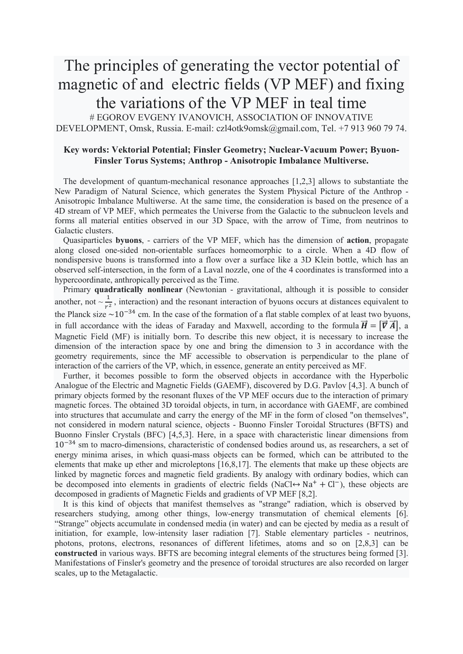## The principles of generating the vector potential of magnetic of and electric fields (VP MEF) and fixing the variations of the VP MEF in teal time

# EGOROV EVGENY IVANOVICH, ASSOCIATION OF INNOVATIVE DEVELOPMENT, Omsk, Russia. E-mail: czl4otk9omsk@gmail.com, Tel. +7 913 960 79 74.

## **Key words: Vektorial Potential; Finsler Geometry; Nuclear-Vacuum Power; Byuon-Finsler Torus Systems; Anthrop - Anisotropic Imbalance Multiverse.**

The development of quantum-mechanical resonance approaches [1,2,3] allows to substantiate the New Paradigm of Natural Science, which generates the System Physical Picture of the Anthrop - Anisotropic Imbalance Multiwerse. At the same time, the consideration is based on the presence of a 4D stream of VP MEF, which permeates the Universe from the Galactic to the subnucleon levels and forms all material entities observed in our 3D Space, with the arrow of Time, from neutrinos to Galactic clusters.

Quasiparticles **byuons**, - carriers of the VP MEF, which has the dimension of **action**, propagate along closed one-sided non-orientable surfaces homeomorphic to a circle. When a 4D flow of nondispersive buons is transformed into a flow over a surface like a 3D Klein bottle, which has an observed self-intersection, in the form of a Laval nozzle, one of the 4 coordinates is transformed into a hypercoordinate, anthropically perceived as the Time.

Primary **quadratically nonlinear** (Newtonian - gravitational, although it is possible to consider another, not  $\sim \frac{1}{r^2}$ , interaction) and the resonant interaction of byuons occurs at distances equivalent to the Planck size  $\sim$ 10<sup>−34</sup> cm. In the case of the formation of a flat stable complex of at least two byuons, in full accordance with the ideas of Faraday and Maxwell, according to the formula  $\vec{H} = [\vec{V} \vec{A}]$ , a Magnetic Field (MF) is initially born. To describe this new object, it is necessary to increase the dimension of the interaction space by one and bring the dimension to 3 in accordance with the geometry requirements, since the MF accessible to observation is perpendicular to the plane of interaction of the carriers of the VP, which, in essence, generate an entity perceived as MF.

Further, it becomes possible to form the observed objects in accordance with the Hyperbolic Analogue of the Electric and Magnetic Fields (GAEMF), discovered by D.G. Pavlov [4,3]. A bunch of primary objects formed by the resonant fluxes of the VP MEF occurs due to the interaction of primary magnetic forces. The obtained 3D toroidal objects, in turn, in accordance with GAEMF, are combined into structures that accumulate and carry the energy of the MF in the form of closed "on themselves", not considered in modern natural science, objects - Buonno Finsler Toroidal Structures (BFTS) and Buonno Finsler Crystals (BFC) [4,5,3]. Here, in a space with characteristic linear dimensions from 10−34 sm to macro-dimensions, characteristic of condensed bodies around us, as researchers, a set of energy minima arises, in which quasi-mass objects can be formed, which can be attributed to the elements that make up ether and microleptons [16,8,17]. The elements that make up these objects are linked by magnetic forces and magnetic field gradients. By analogy with ordinary bodies, which can be decomposed into elements in gradients of electric fields (NaCl↔ Na<sup>+</sup> + Cl−), these objects are decomposed in gradients of Magnetic Fields and gradients of VP MEF [8,2].

It is this kind of objects that manifest themselves as "strange" radiation, which is observed by researchers studying, among other things, low-energy transmutation of chemical elements [6]. "Strange" objects accumulate in condensed media (in water) and can be ejected by media as a result of initiation, for example, low-intensity laser radiation [7]. Stable elementary particles - neutrinos, photons, protons, electrons, resonances of different lifetimes, atoms and so on [2,8,3] can be **constructed** in various ways. BFTS are becoming integral elements of the structures being formed [3]. Manifestations of Finsler's geometry and the presence of toroidal structures are also recorded on larger scales, up to the Metagalactic.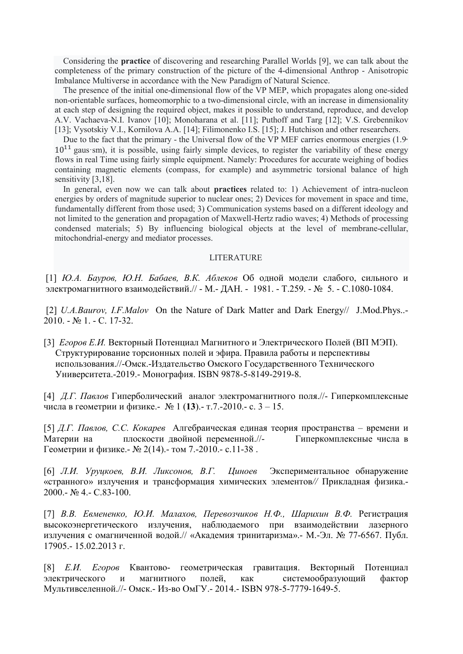Considering the **practice** of discovering and researching Parallel Worlds [9], we can talk about the completeness of the primary construction of the picture of the 4-dimensional Anthrop - Anisotropic Imbalance Multiverse in accordance with the New Paradigm of Natural Science.

The presence of the initial one-dimensional flow of the VP MEP, which propagates along one-sided non-orientable surfaces, homeomorphic to a two-dimensional circle, with an increase in dimensionality at each step of designing the required object, makes it possible to understand, reproduce, and develop A.V. Vachaeva-N.I. Ivanov [10]; Monoharana et al. [11]; Puthoff and Targ [12]; V.S. Grebennikov [13]; Vysotskiy V.I., Kornilova A.A. [14]; Filimonenko I.S. [15]; J. Hutchison and other researchers.

Due to the fact that the primary - the Universal flow of the VP MEF carries enormous energies (1.9∙  $10^{11}$  gaus sm), it is possible, using fairly simple devices, to register the variability of these energy flows in real Time using fairly simple equipment. Namely: Procedures for accurate weighing of bodies containing magnetic elements (compass, for example) and asymmetric torsional balance of high sensitivity [3,18].

In general, even now we can talk about **practices** related to: 1) Achievement of intra-nucleon energies by orders of magnitude superior to nuclear ones; 2) Devices for movement in space and time, fundamentally different from those used; 3) Communication systems based on a different ideology and not limited to the generation and propagation of Maxwell-Hertz radio waves; 4) Methods of processing condensed materials; 5) By influencing biological objects at the level of membrane-cellular, mitochondrial-energy and mediator processes.

## LITERATURE

[1] *Ю.А. Бауров, Ю.Н. Бабаев, В.К. Аблеков* Об одной модели слабого, сильного и электромагнитного взаимодействий.// - М.- ДАН. - 1981. - Т.259. - № 5. - С.1080-1084.

[2] *U.A.Baurov, I.F.Malov* On the Nature of Dark Matter and Dark Energy// J.Mod.Phys..- 2010. - № 1. - С. 17-32.

[3] *Егоров Е.И.* Векторный Потенциал Магнитного и Электрического Полей (ВП МЭП). Структурирование торсионных полей и эфира. Правила работы и перспективы использования.//-Омск.-Издательство Омского Государственного Технического Университета.-2019.- Монография. ISBN 9878-5-8149-2919-8.

[4] *Д.Г. Павлов* Гиперболический аналог электромагнитного поля.//- Гиперкомплексные числа в геометрии и физике.- № 1 (**13**).- т.7.-2010.- с. 3 – 15.

[5] *Д.Г. Павлов, С.С. Кокарев* Алгебраическая единая теория пространства – времени и Материи на плоскости двойной переменной.//- Гиперкомплексные числа в Геометрии и физике.- № 2(14).- том 7.-2010.- с.11-38 .

[6] *Л.И. Уруцкоев, В.И. Ликсонов, В.Г. Циноев* Экспериментальное обнаружение «странного» излучения и трансформация химических элементов*//* Прикладная физика.- 2000.- № 4.- С.83-100.

[7] *В.В. Евмененко, Ю.И. Малахов, Перевозчиков Н.Ф., Шарихин В.Ф.* Регистрация высокоэнергетического излучения, наблюдаемого при взаимодействии лазерного излучения с омагниченной водой.// «Академия тринитаризма».- М.-Эл. № 77-6567. Публ. 17905.- 15.02.2013 г.

[8] *Е.И. Егоров* Квантово- геометрическая гравитация. Векторный Потенциал электрического и магнитного полей, как системообразующий фактор Мультивселенной.//- Омск.- Из-во ОмГУ.- 2014.- ISBN 978-5-7779-1649-5.